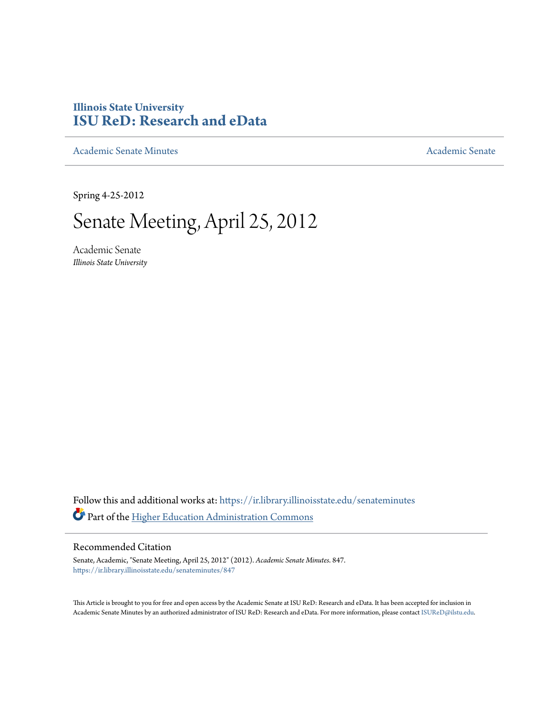## **Illinois State University [ISU ReD: Research and eData](https://ir.library.illinoisstate.edu?utm_source=ir.library.illinoisstate.edu%2Fsenateminutes%2F847&utm_medium=PDF&utm_campaign=PDFCoverPages)**

[Academic Senate Minutes](https://ir.library.illinoisstate.edu/senateminutes?utm_source=ir.library.illinoisstate.edu%2Fsenateminutes%2F847&utm_medium=PDF&utm_campaign=PDFCoverPages) [Academic Senate](https://ir.library.illinoisstate.edu/senate?utm_source=ir.library.illinoisstate.edu%2Fsenateminutes%2F847&utm_medium=PDF&utm_campaign=PDFCoverPages) Academic Senate

Spring 4-25-2012

# Senate Meeting, April 25, 2012

Academic Senate *Illinois State University*

Follow this and additional works at: [https://ir.library.illinoisstate.edu/senateminutes](https://ir.library.illinoisstate.edu/senateminutes?utm_source=ir.library.illinoisstate.edu%2Fsenateminutes%2F847&utm_medium=PDF&utm_campaign=PDFCoverPages) Part of the [Higher Education Administration Commons](http://network.bepress.com/hgg/discipline/791?utm_source=ir.library.illinoisstate.edu%2Fsenateminutes%2F847&utm_medium=PDF&utm_campaign=PDFCoverPages)

#### Recommended Citation

Senate, Academic, "Senate Meeting, April 25, 2012" (2012). *Academic Senate Minutes*. 847. [https://ir.library.illinoisstate.edu/senateminutes/847](https://ir.library.illinoisstate.edu/senateminutes/847?utm_source=ir.library.illinoisstate.edu%2Fsenateminutes%2F847&utm_medium=PDF&utm_campaign=PDFCoverPages)

This Article is brought to you for free and open access by the Academic Senate at ISU ReD: Research and eData. It has been accepted for inclusion in Academic Senate Minutes by an authorized administrator of ISU ReD: Research and eData. For more information, please contact [ISUReD@ilstu.edu.](mailto:ISUReD@ilstu.edu)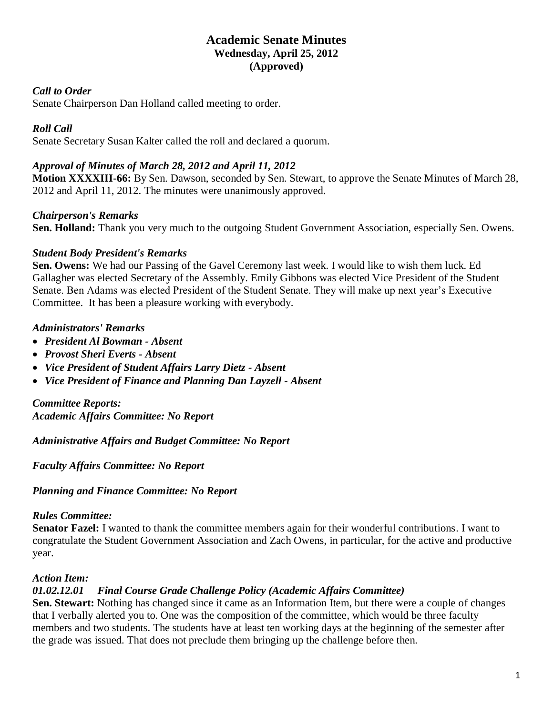#### **Academic Senate Minutes Wednesday, April 25, 2012 (Approved)**

#### *Call to Order*

Senate Chairperson Dan Holland called meeting to order.

#### *Roll Call*

Senate Secretary Susan Kalter called the roll and declared a quorum.

#### *Approval of Minutes of March 28, 2012 and April 11, 2012*

**Motion XXXXIII-66:** By Sen. Dawson, seconded by Sen. Stewart, to approve the Senate Minutes of March 28, 2012 and April 11, 2012. The minutes were unanimously approved.

#### *Chairperson's Remarks*

**Sen. Holland:** Thank you very much to the outgoing Student Government Association, especially Sen. Owens.

#### *Student Body President's Remarks*

**Sen. Owens:** We had our Passing of the Gavel Ceremony last week. I would like to wish them luck. Ed Gallagher was elected Secretary of the Assembly. Emily Gibbons was elected Vice President of the Student Senate. Ben Adams was elected President of the Student Senate. They will make up next year's Executive Committee. It has been a pleasure working with everybody.

#### *Administrators' Remarks*

- *President Al Bowman - Absent*
- *Provost Sheri Everts - Absent*
- *Vice President of Student Affairs Larry Dietz - Absent*
- *Vice President of Finance and Planning Dan Layzell - Absent*

*Committee Reports: Academic Affairs Committee: No Report*

*Administrative Affairs and Budget Committee: No Report*

*Faculty Affairs Committee: No Report*

#### *Planning and Finance Committee: No Report*

#### *Rules Committee:*

**Senator Fazel:** I wanted to thank the committee members again for their wonderful contributions. I want to congratulate the Student Government Association and Zach Owens, in particular, for the active and productive year.

#### *Action Item:*

### *01.02.12.01 Final Course Grade Challenge Policy (Academic Affairs Committee)*

**Sen. Stewart:** Nothing has changed since it came as an Information Item, but there were a couple of changes that I verbally alerted you to. One was the composition of the committee, which would be three faculty members and two students. The students have at least ten working days at the beginning of the semester after the grade was issued. That does not preclude them bringing up the challenge before then.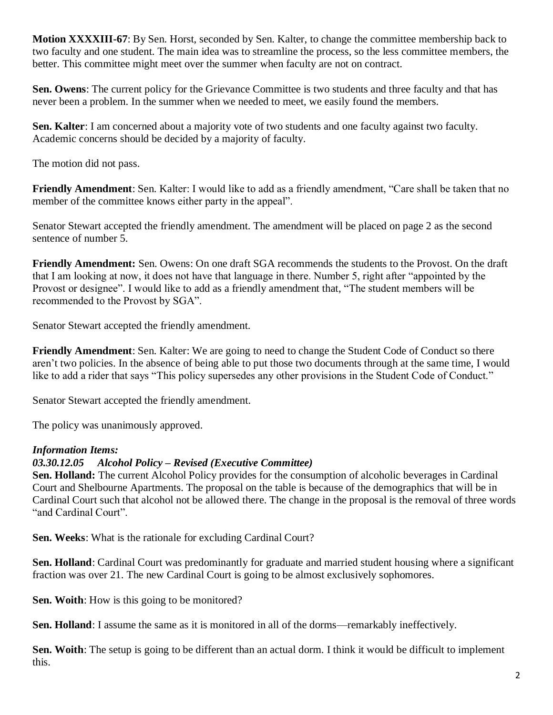**Motion XXXXIII-67**: By Sen. Horst, seconded by Sen. Kalter, to change the committee membership back to two faculty and one student. The main idea was to streamline the process, so the less committee members, the better. This committee might meet over the summer when faculty are not on contract.

**Sen. Owens**: The current policy for the Grievance Committee is two students and three faculty and that has never been a problem. In the summer when we needed to meet, we easily found the members.

**Sen. Kalter**: I am concerned about a majority vote of two students and one faculty against two faculty. Academic concerns should be decided by a majority of faculty.

The motion did not pass.

**Friendly Amendment**: Sen. Kalter: I would like to add as a friendly amendment, "Care shall be taken that no member of the committee knows either party in the appeal".

Senator Stewart accepted the friendly amendment. The amendment will be placed on page 2 as the second sentence of number 5.

**Friendly Amendment:** Sen. Owens: On one draft SGA recommends the students to the Provost. On the draft that I am looking at now, it does not have that language in there. Number 5, right after "appointed by the Provost or designee". I would like to add as a friendly amendment that, "The student members will be recommended to the Provost by SGA".

Senator Stewart accepted the friendly amendment.

**Friendly Amendment**: Sen. Kalter: We are going to need to change the Student Code of Conduct so there aren't two policies. In the absence of being able to put those two documents through at the same time, I would like to add a rider that says "This policy supersedes any other provisions in the Student Code of Conduct."

Senator Stewart accepted the friendly amendment.

The policy was unanimously approved.

#### *Information Items:*

#### *03.30.12.05 Alcohol Policy – Revised (Executive Committee)*

**Sen. Holland:** The current Alcohol Policy provides for the consumption of alcoholic beverages in Cardinal Court and Shelbourne Apartments. The proposal on the table is because of the demographics that will be in Cardinal Court such that alcohol not be allowed there. The change in the proposal is the removal of three words "and Cardinal Court".

**Sen. Weeks**: What is the rationale for excluding Cardinal Court?

**Sen. Holland**: Cardinal Court was predominantly for graduate and married student housing where a significant fraction was over 21. The new Cardinal Court is going to be almost exclusively sophomores.

**Sen. Woith**: How is this going to be monitored?

**Sen. Holland**: I assume the same as it is monitored in all of the dorms—remarkably ineffectively.

**Sen. Woith**: The setup is going to be different than an actual dorm. I think it would be difficult to implement this.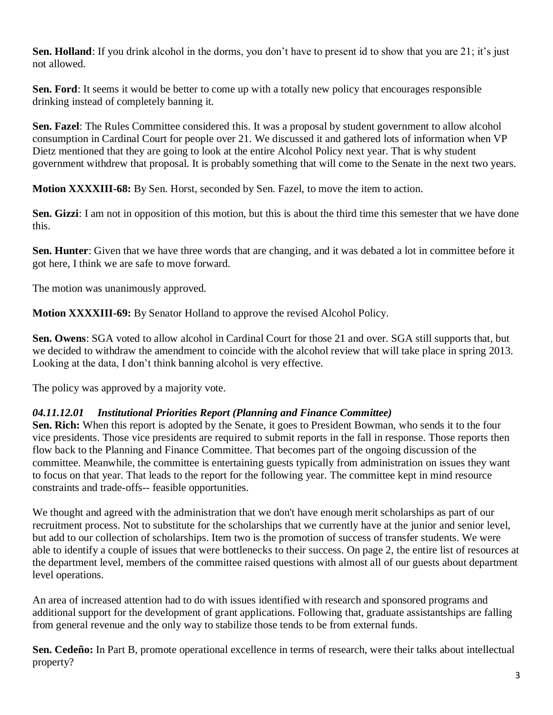**Sen. Holland**: If you drink alcohol in the dorms, you don't have to present id to show that you are 21; it's just not allowed.

**Sen. Ford**: It seems it would be better to come up with a totally new policy that encourages responsible drinking instead of completely banning it.

**Sen. Fazel:** The Rules Committee considered this. It was a proposal by student government to allow alcohol consumption in Cardinal Court for people over 21. We discussed it and gathered lots of information when VP Dietz mentioned that they are going to look at the entire Alcohol Policy next year. That is why student government withdrew that proposal. It is probably something that will come to the Senate in the next two years.

**Motion XXXXIII-68:** By Sen. Horst, seconded by Sen. Fazel, to move the item to action.

**Sen. Gizzi**: I am not in opposition of this motion, but this is about the third time this semester that we have done this.

**Sen. Hunter**: Given that we have three words that are changing, and it was debated a lot in committee before it got here, I think we are safe to move forward.

The motion was unanimously approved.

**Motion XXXXIII-69:** By Senator Holland to approve the revised Alcohol Policy.

**Sen. Owens**: SGA voted to allow alcohol in Cardinal Court for those 21 and over. SGA still supports that, but we decided to withdraw the amendment to coincide with the alcohol review that will take place in spring 2013. Looking at the data, I don't think banning alcohol is very effective.

The policy was approved by a majority vote.

### *04.11.12.01 Institutional Priorities Report (Planning and Finance Committee)*

**Sen. Rich:** When this report is adopted by the Senate, it goes to President Bowman, who sends it to the four vice presidents. Those vice presidents are required to submit reports in the fall in response. Those reports then flow back to the Planning and Finance Committee. That becomes part of the ongoing discussion of the committee. Meanwhile, the committee is entertaining guests typically from administration on issues they want to focus on that year. That leads to the report for the following year. The committee kept in mind resource constraints and trade-offs-- feasible opportunities.

We thought and agreed with the administration that we don't have enough merit scholarships as part of our recruitment process. Not to substitute for the scholarships that we currently have at the junior and senior level, but add to our collection of scholarships. Item two is the promotion of success of transfer students. We were able to identify a couple of issues that were bottlenecks to their success. On page 2, the entire list of resources at the department level, members of the committee raised questions with almost all of our guests about department level operations.

An area of increased attention had to do with issues identified with research and sponsored programs and additional support for the development of grant applications. Following that, graduate assistantships are falling from general revenue and the only way to stabilize those tends to be from external funds.

**Sen. Cedeño:** In Part B, promote operational excellence in terms of research, were their talks about intellectual property?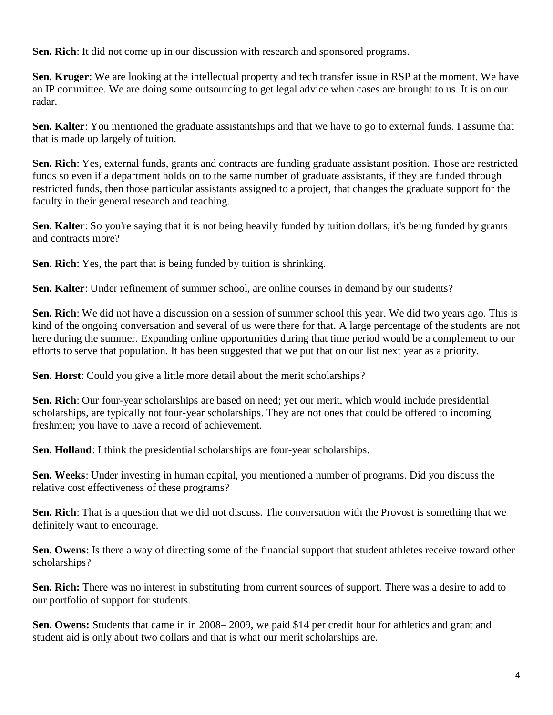**Sen. Rich**: It did not come up in our discussion with research and sponsored programs.

**Sen. Kruger**: We are looking at the intellectual property and tech transfer issue in RSP at the moment. We have an IP committee. We are doing some outsourcing to get legal advice when cases are brought to us. It is on our radar.

**Sen. Kalter**: You mentioned the graduate assistantships and that we have to go to external funds. I assume that that is made up largely of tuition.

**Sen. Rich**: Yes, external funds, grants and contracts are funding graduate assistant position. Those are restricted funds so even if a department holds on to the same number of graduate assistants, if they are funded through restricted funds, then those particular assistants assigned to a project, that changes the graduate support for the faculty in their general research and teaching.

**Sen. Kalter**: So you're saying that it is not being heavily funded by tuition dollars; it's being funded by grants and contracts more?

**Sen. Rich**: Yes, the part that is being funded by tuition is shrinking.

**Sen. Kalter**: Under refinement of summer school, are online courses in demand by our students?

**Sen. Rich**: We did not have a discussion on a session of summer school this year. We did two years ago. This is kind of the ongoing conversation and several of us were there for that. A large percentage of the students are not here during the summer. Expanding online opportunities during that time period would be a complement to our efforts to serve that population. It has been suggested that we put that on our list next year as a priority.

**Sen. Horst**: Could you give a little more detail about the merit scholarships?

**Sen. Rich**: Our four-year scholarships are based on need; yet our merit, which would include presidential scholarships, are typically not four-year scholarships. They are not ones that could be offered to incoming freshmen; you have to have a record of achievement.

**Sen. Holland**: I think the presidential scholarships are four-year scholarships.

**Sen. Weeks**: Under investing in human capital, you mentioned a number of programs. Did you discuss the relative cost effectiveness of these programs?

**Sen. Rich**: That is a question that we did not discuss. The conversation with the Provost is something that we definitely want to encourage.

**Sen. Owens**: Is there a way of directing some of the financial support that student athletes receive toward other scholarships?

**Sen. Rich:** There was no interest in substituting from current sources of support. There was a desire to add to our portfolio of support for students.

**Sen. Owens:** Students that came in in 2008– 2009, we paid \$14 per credit hour for athletics and grant and student aid is only about two dollars and that is what our merit scholarships are.